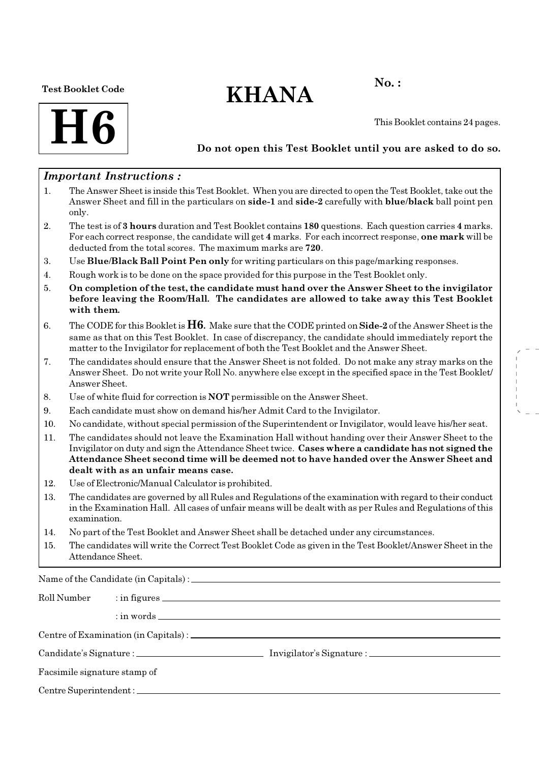### Test Booklet Code

# $KHANA$  No.:



This Booklet contains 24 pages.

# Do not open this Test Booklet until you are asked to do so.

# Important Instructions :

- 1. The Answer Sheet is inside this Test Booklet. When you are directed to open the Test Booklet, take out the Answer Sheet and fill in the particulars on side-1 and side-2 carefully with blue/black ball point pen only.
- 2. The test is of 3 hours duration and Test Booklet contains 180 questions. Each question carries 4 marks. For each correct response, the candidate will get 4 marks. For each incorrect response, one mark will be deducted from the total scores. The maximum marks are 720.
- 3. Use Blue/Black Ball Point Pen only for writing particulars on this page/marking responses.
- 4. Rough work is to be done on the space provided for this purpose in the Test Booklet only.
- 5. On completion of the test, the candidate must hand over the Answer Sheet to the invigilator before leaving the Room/Hall. The candidates are allowed to take away this Test Booklet with them.
- 6. The CODE for this Booklet is  $H6$ . Make sure that the CODE printed on Side-2 of the Answer Sheet is the same as that on this Test Booklet. In case of discrepancy, the candidate should immediately report the matter to the Invigilator for replacement of both the Test Booklet and the Answer Sheet.
- 7. The candidates should ensure that the Answer Sheet is not folded. Do not make any stray marks on the Answer Sheet. Do not write your Roll No. anywhere else except in the specified space in the Test Booklet/ Answer Sheet.
- 8. Use of white fluid for correction is NOT permissible on the Answer Sheet.
- 9. Each candidate must show on demand his/her Admit Card to the Invigilator.
- 10. No candidate, without special permission of the Superintendent or Invigilator, would leave his/her seat.
- 11. The candidates should not leave the Examination Hall without handing over their Answer Sheet to the Invigilator on duty and sign the Attendance Sheet twice. Cases where a candidate has not signed the Attendance Sheet second time will be deemed not to have handed over the Answer Sheet and dealt with as an unfair means case.
- 12. Use of Electronic/Manual Calculator is prohibited.
- 13. The candidates are governed by all Rules and Regulations of the examination with regard to their conduct in the Examination Hall. All cases of unfair means will be dealt with as per Rules and Regulations of this examination.
- 14. No part of the Test Booklet and Answer Sheet shall be detached under any circumstances.
- 15. The candidates will write the Correct Test Booklet Code as given in the Test Booklet/Answer Sheet in the Attendance Sheet.

Name of the Candidate (in Capitals) :

| Roll Number                  |  |  |  |  |  |  |
|------------------------------|--|--|--|--|--|--|
|                              |  |  |  |  |  |  |
|                              |  |  |  |  |  |  |
|                              |  |  |  |  |  |  |
| Facsimile signature stamp of |  |  |  |  |  |  |
|                              |  |  |  |  |  |  |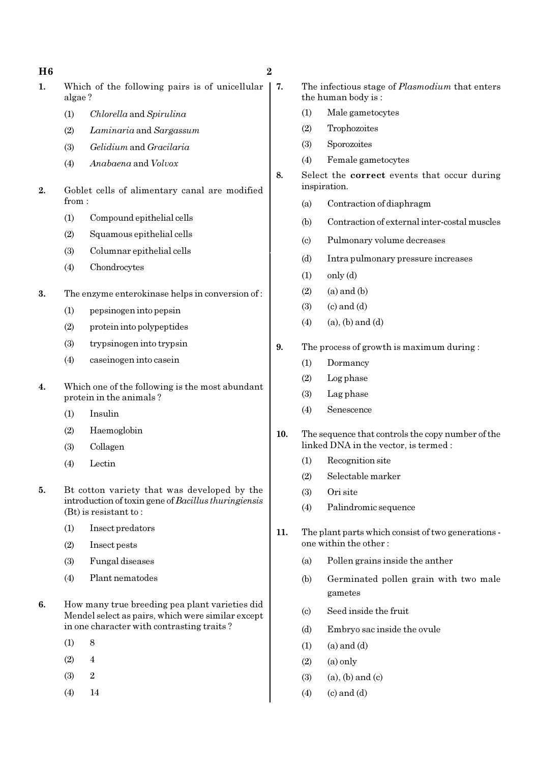H6 2 1. Which of the following pairs is of unicellular | 7. algae ? (1) Chlorella and Spirulina (2) Laminaria and Sargassum (3) Gelidium and Gracilaria (4) Anabaena and Volvox 2. Goblet cells of alimentary canal are modified from : (1) Compound epithelial cells (2) Squamous epithelial cells (3) Columnar epithelial cells (4) Chondrocytes 3. The enzyme enterokinase helps in conversion of : (1) pepsinogen into pepsin (2) protein into polypeptides (3) trypsinogen into trypsin (4) caseinogen into casein 4. Which one of the following is the most abundant protein in the animals ? (1) Insulin (2) Haemoglobin (3) Collagen (4) Lectin 5. Bt cotton variety that was developed by the introduction of toxin gene of Bacillus thuringiensis (Bt) is resistant to : (1) Insect predators (2) Insect pests (3) Fungal diseases (4) Plant nematodes 6. How many true breeding pea plant varieties did Mendel select as pairs, which were similar except in one character with contrasting traits ? The infectious stage of *Plasmodium* that enters the human body is : (1) Male gametocytes (2) Trophozoites (3) Sporozoites (4) Female gametocytes 8. Select the correct events that occur during inspiration. (a) Contraction of diaphragm (b) Contraction of external inter-costal muscles (c) Pulmonary volume decreases (d) Intra pulmonary pressure increases  $(1)$  only  $(d)$  $(2)$   $(a)$  and  $(b)$  $(3)$   $(c)$  and  $(d)$  $(4)$  (a), (b) and (d) 9. The process of growth is maximum during : (1) Dormancy (2) Log phase (3) Lag phase (4) Senescence 10. The sequence that controls the copy number of the linked DNA in the vector, is termed : (1) Recognition site (2) Selectable marker (3) Ori site (4) Palindromic sequence 11. The plant parts which consist of two generations one within the other : (a) Pollen grains inside the anther (b) Germinated pollen grain with two male gametes (c) Seed inside the fruit

 $(1)$  8  $(2)$  4 (3) 2 (4) 14

- (d) Embryo sac inside the ovule
- $(1)$   $(a)$  and  $(d)$
- $(2)$   $(a)$  only
- $(3)$   $(a)$ ,  $(b)$  and  $(c)$
- $(4)$   $(c)$  and  $(d)$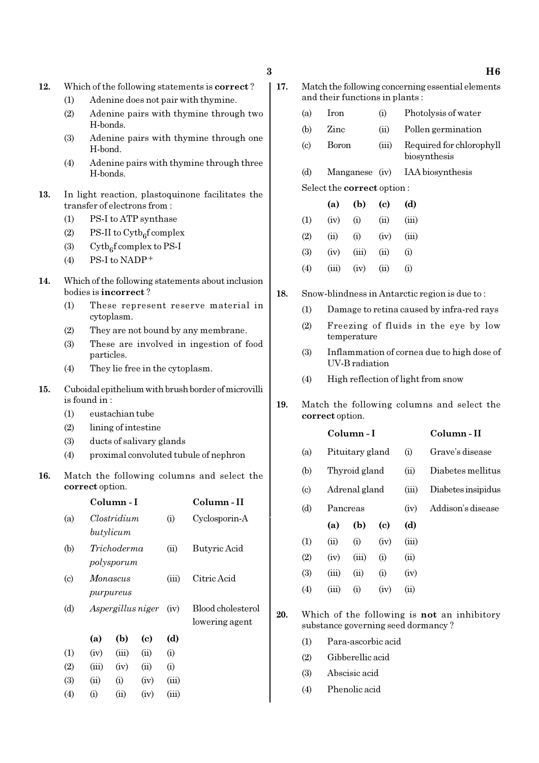- 12. Which of the following statements is correct ?
	- (1) Adenine does not pair with thymine.
	- (2) Adenine pairs with thymine through two H-bonds.
	- (3) Adenine pairs with thymine through one H-bond.
	- (4) Adenine pairs with thymine through three H-bonds.
- 13. In light reaction, plastoquinone facilitates the transfer of electrons from :
	- (1) PS-I to ATP synthase
	- (2) PS-II to  $\text{Cytb}_6\text{f}$  complex
	- (3) Cytb<sub>6</sub>f complex to PS-I
	- (4) PS-I to NADP<sup>+</sup>
- 14. Which of the following statements about inclusion bodies is incorrect ?
	- (1) These represent reserve material in cytoplasm.
	- (2) They are not bound by any membrane.
	- (3) These are involved in ingestion of food particles.
	- (4) They lie free in the cytoplasm.
- 15. Cuboidal epithelium with brush border of microvilli is found in :
	- (1) eustachian tube
	- (2) lining of intestine
	- (3) ducts of salivary glands
	- (4) proximal convoluted tubule of nephron
- 16. Match the following columns and select the correct option.

|                            |                                | Column - I                             |      |                                     | Column - II   |  |  |
|----------------------------|--------------------------------|----------------------------------------|------|-------------------------------------|---------------|--|--|
| (a)                        |                                | Clostridium                            |      |                                     | Cyclosporin-A |  |  |
| (b)                        |                                | butylicum<br>Trichoderma<br>polysporum |      |                                     | Butyric Acid  |  |  |
| $\left( \mathrm{c}\right)$ |                                | Monascus                               |      |                                     | Citric Acid   |  |  |
| (d)                        | purpureus<br>Aspergillus niger |                                        | (iv) | Blood cholesterol<br>lowering agent |               |  |  |
|                            | (a)                            | (b)                                    | (c)  | (d)                                 |               |  |  |
| (1)                        | (iv)                           | (iii)                                  | (ii) | (i)                                 |               |  |  |
| (2)                        | (iii)                          | (iv)                                   | (ii) | (i)                                 |               |  |  |
| (3)                        | (ii)                           | (i)                                    | (iv) | (iii)                               |               |  |  |
| (4)                        | (i)                            | (ii)                                   | (iv) | (iii)                               |               |  |  |

- 17. Match the following concerning essential elements and their functions in plants :
	- (a) Iron (i) Photolysis of water
	- (b) Zinc (ii) Pollen germination
	- (c) Boron (iii) Required for chlorophyll biosynthesis
	- (d) Manganese (iv) IAA biosynthesis
	- Select the correct option :
	- (a) (b) (c) (d)  $(1)$   $(iv)$   $(i)$   $(ii)$   $(iii)$  $(2)$   $(ii)$   $(i)$   $(iv)$   $(iii)$ (3) (iv) (iii) (ii) (i)  $(4)$   $(iii)$   $(iv)$   $(ii)$   $(i)$
- 18. Snow-blindness in Antarctic region is due to :
	- (1) Damage to retina caused by infra-red rays
	- (2) Freezing of fluids in the eye by low temperature
	- (3) Inflammation of cornea due to high dose of UV-B radiation
	- (4) High reflection of light from snow
- 19. Match the following columns and select the correct option.

|                            |       | Column - I      |                            |       | Column - II                                        |
|----------------------------|-------|-----------------|----------------------------|-------|----------------------------------------------------|
| (a)                        |       | Pituitary gland |                            |       | Grave's disease                                    |
| (b)                        |       | Thyroid gland   |                            | (ii)  | Diabetes mellitus                                  |
| $\left( \mathrm{c}\right)$ |       | Adrenal gland   |                            | (iii) | Diabetes insipidus                                 |
| (d)                        |       | Pancreas        |                            |       | Addison's disease                                  |
|                            | (a)   | (b)             | $\left( \mathrm{e}\right)$ | (d)   |                                                    |
| (1)                        | (ii)  | (i)             | (iv)                       | (iii) |                                                    |
| (2)                        | (iv)  | (iii)           | (i)                        | (ii)  |                                                    |
| (3)                        | (iii) | (ii)            | (i)                        | (iv)  |                                                    |
| (4)                        | (iii) | (i)             | (iv)                       | (ii)  |                                                    |
|                            |       |                 |                            |       | Which of the following is <b>not</b> an inhibitory |

20. Which of the following is not an inhibitory substance governing seed dormancy ?

- (1) Para-ascorbic acid
- (2) Gibberellic acid
- (3) Abscisic acid
- (4) Phenolic acid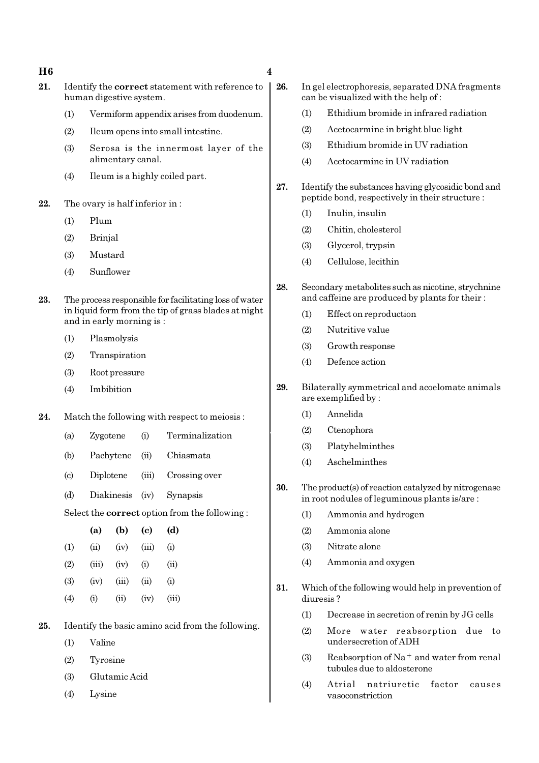### $H6$  4

- 21. Identify the correct statement with reference to human digestive system.
	- (1) Vermiform appendix arises from duodenum.
	- (2) Ileum opens into small intestine.
	- (3) Serosa is the innermost layer of the alimentary canal.
	- (4) Ileum is a highly coiled part.
- 22. The ovary is half inferior in :
	- (1) Plum
	- (2) Brinjal
	- (3) Mustard
	- (4) Sunflower
- 23. The process responsible for facilitating loss of water in liquid form from the tip of grass blades at night and in early morning is :
	- (1) Plasmolysis
	- (2) Transpiration
	- (3) Root pressure
	- (4) Imbibition
- 24. Match the following with respect to meiosis:
	- (a) Zygotene (i) Terminalization
	- (b) Pachytene (ii) Chiasmata
	- (c) Diplotene (iii) Crossing over
	- (d) Diakinesis (iv) Synapsis

Select the correct option from the following :

|                   | (a)      | (b)    | (c)   | (d)   |
|-------------------|----------|--------|-------|-------|
| (1)               | (ii)     | (iv)   | (iii) | (i)   |
| (2)               | (iii)    | (iv)   | (i)   | (ii)  |
| (3)               | (iv)     | (iii)  | (ii)  | (i)   |
| $\left( 4\right)$ | $\rm(i)$ | $\sin$ | (iv)  | (iii) |

- 25. Identify the basic amino acid from the following.
	- (1) Valine
	- (2) Tyrosine
	- (3) Glutamic Acid
	- (4) Lysine
- 26. In gel electrophoresis, separated DNA fragments can be visualized with the help of :
	- (1) Ethidium bromide in infrared radiation
	- (2) Acetocarmine in bright blue light
	- (3) Ethidium bromide in UV radiation
	- (4) Acetocarmine in UV radiation
- 27. Identify the substances having glycosidic bond and peptide bond, respectively in their structure :
	- (1) Inulin, insulin
	- (2) Chitin, cholesterol
	- (3) Glycerol, trypsin
	- (4) Cellulose, lecithin
- 28. Secondary metabolites such as nicotine, strychnine and caffeine are produced by plants for their :
	- (1) Effect on reproduction
	- (2) Nutritive value
	- (3) Growth response
	- (4) Defence action
- 29. Bilaterally symmetrical and acoelomate animals are exemplified by :
	- (1) Annelida
	- (2) Ctenophora
	- (3) Platyhelminthes
	- (4) Aschelminthes
- 30. The product(s) of reaction catalyzed by nitrogenase in root nodules of leguminous plants is/are :
	- (1) Ammonia and hydrogen
	- (2) Ammonia alone
	- (3) Nitrate alone
	- (4) Ammonia and oxygen
- 31. Which of the following would help in prevention of diuresis ?
	- (1) Decrease in secretion of renin by JG cells
	- (2) More water reabsorption due to undersecretion of ADH
	- (3) Reabsorption of Na<sup>+</sup> and water from renal tubules due to aldosterone
	- (4) Atrial natriuretic factor causes vasoconstriction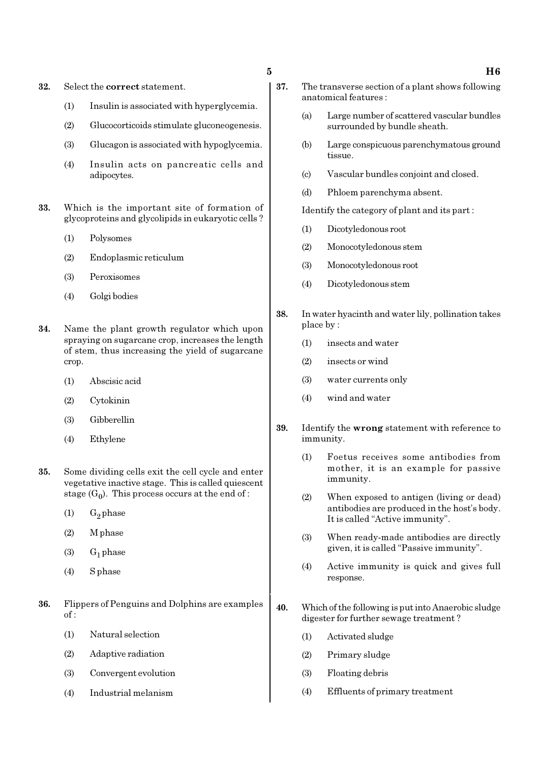- 32. Select the correct statement.
	- (1) Insulin is associated with hyperglycemia.
	- (2) Glucocorticoids stimulate gluconeogenesis.
	- (3) Glucagon is associated with hypoglycemia.
	- (4) Insulin acts on pancreatic cells and adipocytes.
- 33. Which is the important site of formation of glycoproteins and glycolipids in eukaryotic cells ?
	- (1) Polysomes
	- (2) Endoplasmic reticulum
	- (3) Peroxisomes
	- (4) Golgi bodies
- 34. Name the plant growth regulator which upon spraying on sugarcane crop, increases the length of stem, thus increasing the yield of sugarcane crop.
	- (1) Abscisic acid
	- (2) Cytokinin
	- (3) Gibberellin
	- (4) Ethylene
- 35. Some dividing cells exit the cell cycle and enter vegetative inactive stage. This is called quiescent stage  $(G_0)$ . This process occurs at the end of :
	- $(1)$  G<sub>2</sub> phase
	- (2) M phase
	- $(3)$  G<sub>1</sub> phase
	- (4) S phase
- 36. Flippers of Penguins and Dolphins are examples of :
	- (1) Natural selection
	- (2) Adaptive radiation
	- (3) Convergent evolution
	- (4) Industrial melanism
- 37. The transverse section of a plant shows following anatomical features :
	- (a) Large number of scattered vascular bundles surrounded by bundle sheath.
	- (b) Large conspicuous parenchymatous ground tissue.
	- (c) Vascular bundles conjoint and closed.
	- (d) Phloem parenchyma absent.

Identify the category of plant and its part :

- (1) Dicotyledonous root
- (2) Monocotyledonous stem
- (3) Monocotyledonous root
- (4) Dicotyledonous stem
- 38. In water hyacinth and water lily, pollination takes place by :
	- (1) insects and water
	- (2) insects or wind
	- (3) water currents only
	- (4) wind and water
- 39. Identify the wrong statement with reference to immunity.
	- (1) Foetus receives some antibodies from mother, it is an example for passive immunity.
	- (2) When exposed to antigen (living or dead) antibodies are produced in the host's body. It is called "Active immunity".
	- (3) When ready-made antibodies are directly given, it is called "Passive immunity".
	- (4) Active immunity is quick and gives full response.
- 40. Which of the following is put into Anaerobic sludge digester for further sewage treatment ?
	- (1) Activated sludge
	- (2) Primary sludge
	- (3) Floating debris
	- (4) Effluents of primary treatment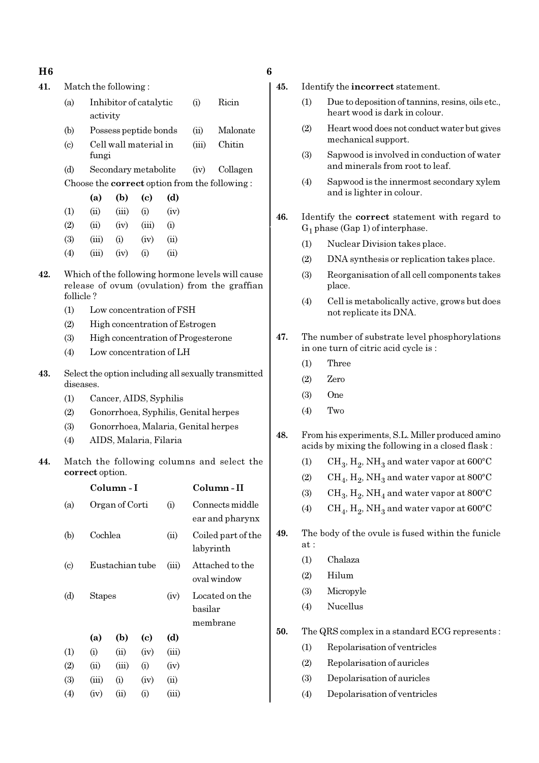| I<br>۱<br>×<br>w |
|------------------|
|------------------|

 $H6$  6 41. Match the following : (a) Inhibitor of catalytic (i) Ricin activity (b) Possess peptide bonds (ii) Malonate (c) Cell wall material in (iii) Chitin fungi (d) Secondary metabolite (iv) Collagen Choose the correct option from the following : (a) (b) (c) (d)  $(1)$   $(ii)$   $(iii)$   $(i)$   $(iv)$  $(2)$   $(ii)$   $(iv)$   $(iii)$   $(i)$  $(3)$   $(iii)$   $(i)$   $(iv)$   $(ii)$  $(4)$   $(iii)$   $(iv)$   $(i)$   $(ii)$ 42. Which of the following hormone levels will cause release of ovum (ovulation) from the graffian follicle ? (1) Low concentration of FSH (2) High concentration of Estrogen (3) High concentration of Progesterone (4) Low concentration of LH 43. Select the option including all sexually transmitted diseases. (1) Cancer, AIDS, Syphilis (2) Gonorrhoea, Syphilis, Genital herpes (3) Gonorrhoea, Malaria, Genital herpes (4) AIDS, Malaria, Filaria 44. Match the following columns and select the correct option. Column - I Column - II (a) Organ of Corti (i) Connects middle ear and pharynx (b) Cochlea (ii) Coiled part of the labyrinth

(c) Eustachian tube (iii) Attached to the

(d) Stapes (iv) Located on the

(a) (b) (c) (d)

(1) (i) (ii) (iv) (iii)  $(2)$   $(ii)$   $(iii)$   $(i)$   $(iv)$ (3) (iii) (i) (iv) (ii)  $(4)$   $(iv)$   $(ii)$   $(i)$   $(iii)$ 

oval window

basilar membrane

- 45. Identify the incorrect statement.
	- (1) Due to deposition of tannins, resins, oils etc., heart wood is dark in colour.
	- (2) Heart wood does not conduct water but gives mechanical support.
	- (3) Sapwood is involved in conduction of water and minerals from root to leaf.
	- (4) Sapwood is the innermost secondary xylem and is lighter in colour.
- 46. Identify the correct statement with regard to  $G_1$  phase (Gap 1) of interphase.
	- (1) Nuclear Division takes place.
	- (2) DNA synthesis or replication takes place.
	- (3) Reorganisation of all cell components takes place.
	- (4) Cell is metabolically active, grows but does not replicate its DNA.
- 47. The number of substrate level phosphorylations in one turn of citric acid cycle is :
	- (1) Three
	- (2) Zero
	- (3) One
	- (4) Two
- 48. From his experiments, S.L. Miller produced amino acids by mixing the following in a closed flask :
	- (1)  $\mathrm{CH}_3, \mathrm{H}_2, \mathrm{NH}_3$  and water vapor at 600°C
	- (2)  $\rm CH_4, H_2, NH_3$  and water vapor at 800°C
	- (3)  $\mathrm{CH}_3, \mathrm{H}_2, \mathrm{NH}_4$  and water vapor at 800°C
	- (4)  $\rm CH_4, H_2, NH_3$  and water vapor at 600°C
- 49. The body of the ovule is fused within the funicle at :
	- (1) Chalaza
	- (2) Hilum
	- (3) Micropyle
	- (4) Nucellus
- 50. The QRS complex in a standard ECG represents :
	- (1) Repolarisation of ventricles
	- (2) Repolarisation of auricles
	- (3) Depolarisation of auricles
	- (4) Depolarisation of ventricles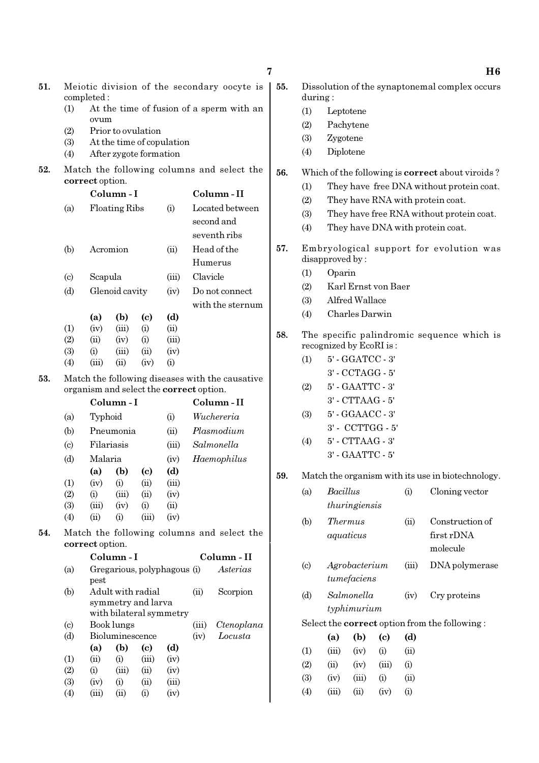|     |                                                           |                                                                                            |                               |                             |                             |               |                                            | 7   |                             |                         |                      |                            |       | H6                                                      |
|-----|-----------------------------------------------------------|--------------------------------------------------------------------------------------------|-------------------------------|-----------------------------|-----------------------------|---------------|--------------------------------------------|-----|-----------------------------|-------------------------|----------------------|----------------------------|-------|---------------------------------------------------------|
| 51. | Meiotic division of the secondary oocyte is<br>completed: |                                                                                            |                               |                             |                             |               |                                            |     | during:                     |                         |                      |                            |       | Dissolution of the synaptonemal complex occurs          |
|     | (1)                                                       |                                                                                            |                               |                             |                             |               | At the time of fusion of a sperm with an   |     | (1)                         |                         | Leptotene            |                            |       |                                                         |
|     | (2)                                                       | ovum                                                                                       |                               | Prior to ovulation          |                             |               |                                            |     | (2)                         |                         | Pachytene            |                            |       |                                                         |
|     | (3)                                                       |                                                                                            |                               |                             | At the time of copulation   |               |                                            |     | (3)                         | Zygotene                |                      |                            |       |                                                         |
|     | (4)                                                       |                                                                                            |                               | After zygote formation      |                             |               |                                            |     | (4)                         |                         | Diplotene            |                            |       |                                                         |
| 52. |                                                           |                                                                                            |                               |                             |                             |               | Match the following columns and select the | 56. |                             |                         |                      |                            |       | Which of the following is <b>correct</b> about viroids? |
|     |                                                           | correct option.                                                                            |                               |                             |                             |               |                                            |     | (1)                         |                         |                      |                            |       | They have free DNA without protein coat.                |
|     |                                                           |                                                                                            | Column-I                      |                             |                             |               | Column-II                                  |     | (2)                         |                         |                      |                            |       | They have RNA with protein coat.                        |
|     | (a)                                                       |                                                                                            | Floating Ribs                 |                             | (i)                         |               | Located between                            |     | (3)                         |                         |                      |                            |       | They have free RNA without protein coat.                |
|     |                                                           |                                                                                            |                               |                             |                             |               | second and                                 |     |                             |                         |                      |                            |       |                                                         |
|     |                                                           |                                                                                            |                               |                             |                             |               | seventh ribs                               |     | (4)                         |                         |                      |                            |       | They have DNA with protein coat.                        |
|     | (b)                                                       |                                                                                            | Acromion                      |                             | (ii)                        |               | Head of the                                | 57. |                             |                         |                      |                            |       | Embryological support for evolution was                 |
|     |                                                           |                                                                                            |                               |                             |                             | Humerus       |                                            |     | disapproved by:             |                         |                      |                            |       |                                                         |
|     | $\left( \mathrm{c} \right)$                               | Scapula                                                                                    |                               |                             | (iii)                       | Clavicle      |                                            |     | (1)                         | Oparin                  |                      |                            |       |                                                         |
|     | (d)                                                       |                                                                                            | Glenoid cavity                |                             | (iv)                        |               | Do not connect                             |     | (2)                         |                         |                      | Karl Ernst von Baer        |       |                                                         |
|     |                                                           |                                                                                            |                               |                             |                             |               | with the sternum                           |     | (3)                         |                         | Alfred Wallace       |                            |       |                                                         |
|     |                                                           | (a)                                                                                        | (b)                           | (c)                         | (d)                         |               |                                            |     | (4)                         |                         | Charles Darwin       |                            |       |                                                         |
|     | (1)                                                       | (iv)                                                                                       | (iii)                         | (i)                         | (ii)                        |               |                                            | 58. |                             |                         |                      |                            |       | The specific palindromic sequence which is              |
|     | (2)                                                       | (ii)                                                                                       | (iv)                          | (i)                         | (iii)                       |               |                                            |     |                             | recognized by EcoRI is: |                      |                            |       |                                                         |
|     | (3)<br>(4)                                                | (i)<br>(iii)                                                                               | (iii)<br>(ii)                 | (ii)<br>(iv)                | (iv)<br>(i)                 |               |                                            |     | (1)                         |                         | 5' - GGATCC - 3'     |                            |       |                                                         |
|     |                                                           |                                                                                            |                               |                             |                             |               |                                            |     |                             |                         | 3' - CCTAGG - 5'     |                            |       |                                                         |
| 53. |                                                           | Match the following diseases with the causative<br>organism and select the correct option. |                               |                             |                             |               |                                            | (2) |                             | 5' - GAATTC - 3'        |                      |                            |       |                                                         |
|     |                                                           |                                                                                            | Column-I                      |                             |                             |               | Column-II                                  |     |                             |                         | $3'$ - CTTAAG - $5'$ |                            |       |                                                         |
|     | (a)                                                       | Typhoid                                                                                    |                               |                             | (i)                         |               | Wuchereria                                 |     | (3)                         |                         | 5' - GGAACC - 3'     |                            |       |                                                         |
|     | (b)                                                       |                                                                                            | Pneumonia                     |                             | (ii)                        |               | Plasmodium                                 |     |                             |                         |                      | 3' - CCTTGG - 5'           |       |                                                         |
|     | $\left( \mathrm{c} \right)$                               |                                                                                            | Filariasis                    |                             | (iii)                       |               | Salmonella                                 |     | (4)                         |                         | $5'$ - $CTTAAG - 3'$ |                            |       |                                                         |
|     | (d)                                                       | Malaria                                                                                    |                               |                             | (iv)                        |               | Haemophilus                                |     |                             |                         | 3' - GAATTC - 5'     |                            |       |                                                         |
|     |                                                           |                                                                                            | $(a)$ $(b)$                   | (c)                         | (d)                         |               |                                            |     |                             |                         |                      |                            |       |                                                         |
|     | (1)                                                       | (iv)                                                                                       | (i)                           | (ii)                        | (iii)                       |               |                                            | 59. |                             |                         |                      |                            |       | Match the organism with its use in biotechnology.       |
|     | (2)                                                       | (i)                                                                                        | (iii)                         | (ii)                        | (iv)                        |               |                                            |     | (a)                         | Bacillus                |                      |                            | (i)   | Cloning vector                                          |
|     | (3)                                                       | (iii)                                                                                      | (iv)                          | (i)                         | (ii)                        |               |                                            |     |                             |                         | thuringiensis        |                            |       |                                                         |
|     | (4)                                                       | (ii)                                                                                       | (i)                           | (iii)                       | (iv)                        |               |                                            |     | (b)                         |                         | <b>Thermus</b>       |                            | (ii)  | Construction of                                         |
| 54. |                                                           |                                                                                            |                               |                             |                             |               | Match the following columns and select the |     |                             |                         | aquaticus            |                            |       | first rDNA                                              |
|     |                                                           | correct option.                                                                            |                               |                             |                             |               |                                            |     |                             |                         |                      |                            |       | molecule                                                |
|     |                                                           |                                                                                            | Column-I                      |                             |                             |               | Column - II                                |     | $\left( \mathrm{c} \right)$ |                         | Agrobacterium        |                            | (iii) | DNA polymerase                                          |
|     | (a)                                                       | pest                                                                                       |                               |                             | Gregarious, polyphagous (i) |               | Asterias                                   |     |                             |                         | tumefaciens          |                            |       |                                                         |
|     | (b)                                                       |                                                                                            |                               | Adult with radial           |                             | (ii)          | Scorpion                                   |     | (d)                         |                         | Salmonella           |                            | (iv)  | Cry proteins                                            |
|     |                                                           |                                                                                            |                               | symmetry and larva          |                             |               |                                            |     |                             |                         | typhimurium          |                            |       |                                                         |
|     |                                                           |                                                                                            |                               |                             | with bilateral symmetry     |               |                                            |     |                             |                         |                      |                            |       |                                                         |
|     | $\left( \mathrm{c} \right)$<br>(d)                        |                                                                                            | Book lungs<br>Bioluminescence |                             |                             | (iii)<br>(iv) | Ctenoplana<br>Locusta                      |     |                             |                         |                      |                            |       | Select the <b>correct</b> option from the following:    |
|     |                                                           | (a)                                                                                        | (b)                           | $\left( \mathbf{c} \right)$ | (d)                         |               |                                            |     |                             | (a)                     | (b)                  | $\left( \mathrm{c}\right)$ | (d)   |                                                         |
|     | (1)                                                       | (ii)                                                                                       | (i)                           | (iii)                       | (iv)                        |               |                                            |     | (1)                         | (iii)                   | (iv)                 | (i)                        | (ii)  |                                                         |
|     | (2)                                                       | (i)                                                                                        | (iii)                         | (ii)                        | (iv)                        |               |                                            |     | (2)                         | (ii)                    | (iv)                 | (iii)                      | (i)   |                                                         |
|     | (3)                                                       | (iv)                                                                                       | (i)                           | (ii)                        | (iii)                       |               |                                            |     | (3)                         | (iv)                    | (iii)                | (i)                        | (ii)  |                                                         |
|     | (4)                                                       | (iii)                                                                                      | (ii)                          | (i)                         | (iv)                        |               |                                            |     | (4)                         | (iii)                   | (ii)                 | (iv)                       | (i)   |                                                         |
|     |                                                           |                                                                                            |                               |                             |                             |               |                                            |     |                             |                         |                      |                            |       |                                                         |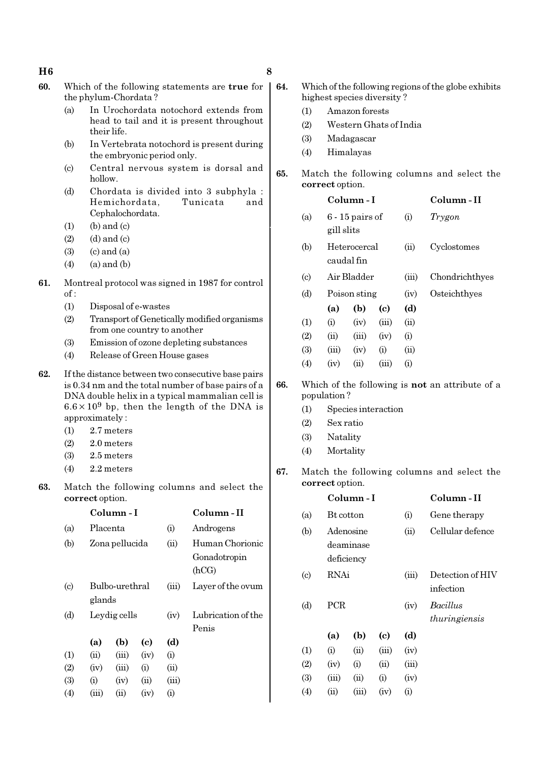### $H6$  8

- 60. Which of the following statements are true for the phylum-Chordata ?
	- (a) In Urochordata notochord extends from head to tail and it is present throughout their life.
	- (b) In Vertebrata notochord is present during the embryonic period only.
	- (c) Central nervous system is dorsal and hollow.
	- (d) Chordata is divided into 3 subphyla : Hemichordata, Tunicata and Cephalochordata.
	- $(1)$  (b) and  $(c)$
	- $(2)$   $(d)$  and  $(c)$
	- $(3)$   $(c)$  and  $(a)$
	- $(4)$  (a) and (b)
- 61. Montreal protocol was signed in 1987 for control  $of:$ 
	- (1) Disposal of e-wastes
	- (2) Transport of Genetically modified organisms from one country to another
	- (3) Emission of ozone depleting substances
	- (4) Release of Green House gases
- 62. If the distance between two consecutive base pairs is 0.34 nm and the total number of base pairs of a DNA double helix in a typical mammalian cell is  $6.6 \times 10^9$  bp, then the length of the DNA is approximately :
	- (1) 2.7 meters
	- (2) 2.0 meters
	- (3) 2.5 meters
	- (4) 2.2 meters
- 63. Match the following columns and select the correct option.

|                           |          | Column - I     |      |       | Column - II                              |
|---------------------------|----------|----------------|------|-------|------------------------------------------|
| (a)                       | Placenta |                |      | (i)   | Androgens                                |
| (b)                       |          | Zona pellucida |      |       | Human Chorionic<br>Gonadotropin<br>(hCG) |
| $\left( \text{c} \right)$ | glands   | Bulbo-urethral |      | (iii) | Layer of the ovum                        |
| (d)                       |          | Leydig cells   |      |       | Lubrication of the<br>Penis              |
|                           | (a)      | (b)            | (c)  | (d)   |                                          |
| (1)                       | (ii)     | (iii)          | (iv) | (i)   |                                          |
| (2)                       | (iv)     | (iii)          | (i)  | (ii)  |                                          |
| (3)                       | (i)      | (iv)           | (ii) | (iii) |                                          |
| $\left( 4 \right)$        | (iii)    | $\sin$         | (iv) | (i)   |                                          |

- 64. Which of the following regions of the globe exhibits highest species diversity ?
	- (1) Amazon forests
	- (2) Western Ghats of India
	- (3) Madagascar
	- (4) Himalayas
- 65. Match the following columns and select the correct option.

# Column - I Column - II

| (a) | $6 - 15$ pairs of<br>gill slits | (1)   | Trygon         |
|-----|---------------------------------|-------|----------------|
| (b) | Heterocercal<br>caudal fin      | (ii)  | Cyclostomes    |
| (c) | Air Bladder                     | (iii) | Chondrichthyes |
| (d) | Poison sting                    | (1V)  | Osteichthyes   |

- (a) (b) (c) (d)  $(1)$   $(ii)$   $(iv)$   $(iii)$   $(ii)$  $(2)$   $(ii)$   $(iii)$   $(iv)$   $(i)$ (3)  $(iii)$   $(iv)$   $(i)$   $(ii)$  $(4)$   $(iv)$   $(ii)$   $(iii)$   $(i)$
- 66. Which of the following is not an attribute of a population ?
	- (1) Species interaction
	- (2) Sex ratio
	- (3) Natality
	- (4) Mortality
- 67. Match the following columns and select the correct option.

|                            |            | Column - I                           |       |       | Column-II                        |
|----------------------------|------------|--------------------------------------|-------|-------|----------------------------------|
| (a)                        | Bt cotton  |                                      |       | (i)   | Gene therapy                     |
| (b)                        |            | Adenosine<br>deaminase<br>deficiency |       | (ii)  | Cellular defence                 |
| $\left( \mathrm{c}\right)$ | RNAi       |                                      |       | (iii) | Detection of HIV<br>infection    |
| (d)                        | <b>PCR</b> |                                      |       | (iv)  | <i>Bacillus</i><br>thuringiensis |
|                            | (a)        | (b)                                  | (c)   | (d)   |                                  |
| (1)                        | (i)        | (ii)                                 | (iii) | (iv)  |                                  |
| (2)                        | (iv)       | (i)                                  | (ii)  | (iii) |                                  |
| (3)                        | (iii)      | (ii)                                 | (i)   | (iv)  |                                  |
| (4)                        | $\sin$     | (iii)                                | (iv)  | (i)   |                                  |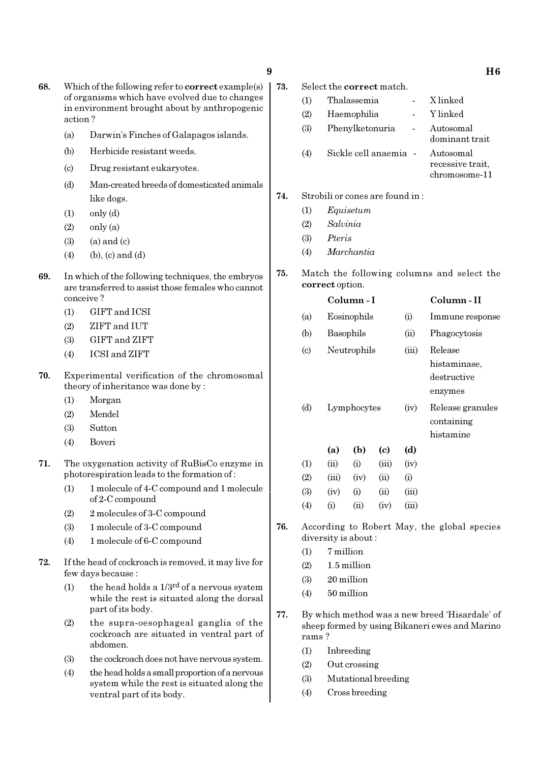- 68. Which of the following refer to correct example(s) of organisms which have evolved due to changes in environment brought about by anthropogenic action ?
	- (a) Darwin's Finches of Galapagos islands.
	- (b) Herbicide resistant weeds.
	- (c) Drug resistant eukaryotes.
	- (d) Man-created breeds of domesticated animals like dogs.
	- $(1)$  only  $(d)$
	- $(2)$  only  $(a)$
	- $(3)$   $(a)$  and  $(c)$
	- $(4)$  (b), (c) and (d)
- 69. In which of the following techniques, the embryos are transferred to assist those females who cannot conceive ?
	- (1) GIFT and ICSI
	- (2) ZIFT and IUT
	- (3) GIFT and ZIFT
	- (4) ICSI and ZIFT
- 70. Experimental verification of the chromosomal theory of inheritance was done by :
	- (1) Morgan
	- (2) Mendel
	- (3) Sutton
	- (4) Boveri
- 71. The oxygenation activity of RuBisCo enzyme in photorespiration leads to the formation of :
	- (1) 1 molecule of 4-C compound and 1 molecule of 2-C compound
	- (2) 2 molecules of 3-C compound
	- (3) 1 molecule of 3-C compound
	- (4) 1 molecule of 6-C compound
- 72. If the head of cockroach is removed, it may live for few days because :
	- (1) the head holds a  $1/3^{rd}$  of a nervous system while the rest is situated along the dorsal part of its body.
	- (2) the supra-oesophageal ganglia of the cockroach are situated in ventral part of abdomen.
	- (3) the cockroach does not have nervous system.
	- (4) the head holds a small proportion of a nervous system while the rest is situated along the ventral part of its body.

| 73. | Select the <b>correct</b> match. |                                 |  |                             |  |  |  |
|-----|----------------------------------|---------------------------------|--|-----------------------------|--|--|--|
|     | (1)                              | Thalassemia                     |  | X linked                    |  |  |  |
|     | (2)                              | Haemophilia                     |  | - Ylinked                   |  |  |  |
|     | (3)                              | Phenylketonuria                 |  | Autosomal<br>dominant trait |  |  |  |
|     | (4)                              | Sickle cell anaemia - Autosomal |  |                             |  |  |  |

recessive trait, chromosome-11

- 74. Strobili or cones are found in :
	- (1) Equisetum
	- (2) Salvinia
	- (3) Pteris
	- (4) Marchantia
- 75. Match the following columns and select the correct option.

|                             |           | Column - I  |            | Column - II |                                                   |
|-----------------------------|-----------|-------------|------------|-------------|---------------------------------------------------|
| (a)                         |           | Eosinophils |            | (i)         | Immune response                                   |
| (b)                         |           | Basophils   |            | (ii)        | Phagocytosis                                      |
| $\left( \mathrm{c} \right)$ |           | Neutrophils |            |             | Release<br>histaminase,<br>destructive<br>enzymes |
| (d)                         |           | Lymphocytes |            |             | Release granules<br>containing<br>histamine       |
|                             | (a)       | (b)         | (c)        | (d)         |                                                   |
| $\left(1\right)$            | (ii)      | (i)         | (iii)      | (iv)        |                                                   |
| (2)                         | (iii)     | (iv)        | (ii)       | (i)         |                                                   |
| (3)                         | (iv)      | (i)         | $\rm (ii)$ | (iii)       |                                                   |
| $\left( 4\right)$           | $\rm (i)$ | (ii)        | (iv)       | (iii)       |                                                   |

- 76. According to Robert May, the global species diversity is about :
	- $(1)$  7 million
	- $(2)$  1.5 million
	- (3) 20 million
	- (4) 50 million
- 77. By which method was a new breed 'Hisardale' of sheep formed by using Bikaneri ewes and Marino rams ?
	- (1) Inbreeding
	- (2) Out crossing
	- (3) Mutational breeding
	- (4) Cross breeding

 $9 \hspace{1.5cm} \text{H6}$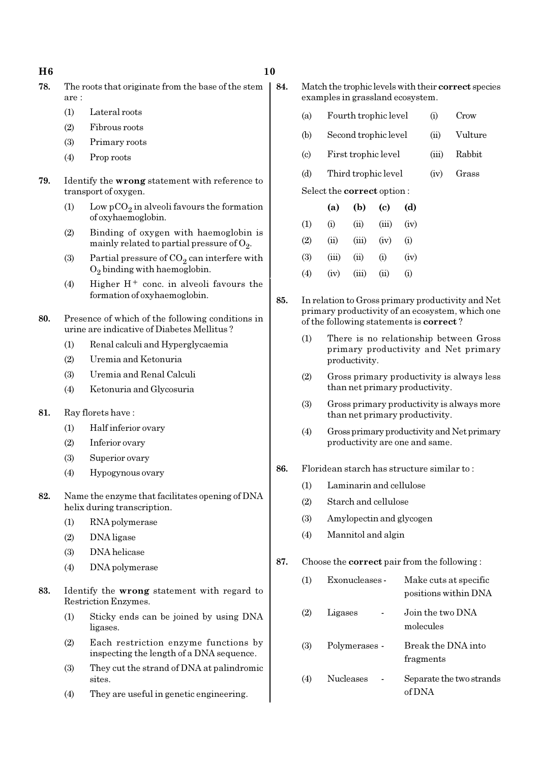### $H6$  10

- 78. The roots that originate from the base of the stem are :
	- (1) Lateral roots
	- (2) Fibrous roots
	- (3) Primary roots
	- (4) Prop roots
- 79. Identify the wrong statement with reference to transport of oxygen.
	- (1) Low  $pCO_2$  in alveoli favours the formation of oxyhaemoglobin.
	- (2) Binding of oxygen with haemoglobin is mainly related to partial pressure of  $\mathrm{O}_2$ .
	- (3) Partial pressure of  $CO_2$  can interfere with  $O_2$  binding with haemoglobin.
	- (4) Higher  $H^+$  conc. in alveoli favours the formation of oxyhaemoglobin.
- 80. Presence of which of the following conditions in urine are indicative of Diabetes Mellitus ?
	- (1) Renal calculi and Hyperglycaemia
	- (2) Uremia and Ketonuria
	- (3) Uremia and Renal Calculi
	- (4) Ketonuria and Glycosuria
- 81. Ray florets have :
	- (1) Half inferior ovary
	- (2) Inferior ovary
	- (3) Superior ovary
	- (4) Hypogynous ovary
- 82. Name the enzyme that facilitates opening of DNA helix during transcription.
	- (1) RNA polymerase
	- (2) DNA ligase
	- (3) DNA helicase
	- (4) DNA polymerase
- 83. Identify the wrong statement with regard to Restriction Enzymes.
	- (1) Sticky ends can be joined by using DNA ligases.
	- (2) Each restriction enzyme functions by inspecting the length of a DNA sequence.
	- (3) They cut the strand of DNA at palindromic sites.
	- (4) They are useful in genetic engineering.

84. Match the trophic levels with their correct species examples in grassland ecosystem.

- (a) Fourth trophic level (i) Crow
- (b) Second trophic level (ii) Vulture
- (c) First trophic level (iii) Rabbit
- (d) Third trophic level (iv) Grass

Select the correct option :

|                   | (a)   | (b)   | $\left( \mathrm{c}\right)$ | (d)  |
|-------------------|-------|-------|----------------------------|------|
| (1)               | (i)   | (ii)  | (iii)                      | (iv) |
| (2)               | (ii)  | (iii) | (iv)                       | (i)  |
| (3)               | (iii) | (ii)  | (i)                        | (iv) |
| $\left( 4\right)$ | (iv)  | (iii) | (ii)                       | (i)  |

- 85. In relation to Gross primary productivity and Net primary productivity of an ecosystem, which one of the following statements is correct ?
	- (1) There is no relationship between Gross primary productivity and Net primary productivity.
	- (2) Gross primary productivity is always less than net primary productivity.
	- (3) Gross primary productivity is always more than net primary productivity.
	- (4) Gross primary productivity and Net primary productivity are one and same.
- 86. Floridean starch has structure similar to :
	- (1) Laminarin and cellulose
	- (2) Starch and cellulose
	- (3) Amylopectin and glycogen
	- (4) Mannitol and algin
- 87. Choose the correct pair from the following :

| (1) | Exonucleases - | Make cuts at specific<br>positions within DNA |
|-----|----------------|-----------------------------------------------|
| (2) | Ligases        | Join the two DNA<br>molecules                 |
| (3) | Polymerases -  | Break the DNA into<br>fragments               |
| (4) | Nucleases      | Separate the two strands<br>of DNA            |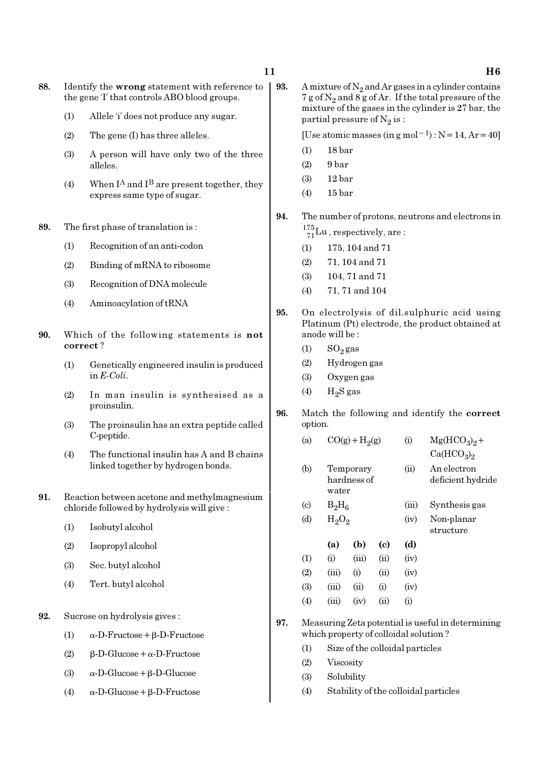- 88. Identify the wrong statement with reference to the gene 'I' that controls ABO blood groups.
	- (1) Allele 'i' does not produce any sugar.
	- (2) The gene (I) has three alleles.
	- (3) A person will have only two of the three alleles.
	- (4) When  $I^A$  and  $I^B$  are present together, they express same type of sugar.
- 89. The first phase of translation is :
	- (1) Recognition of an anti-codon
	- (2) Binding of mRNA to ribosome
	- (3) Recognition of DNA molecule
	- (4) Aminoacylation of tRNA
- 90. Which of the following statements is not correct ?
	- (1) Genetically engineered insulin is produced in E-Coli.
	- (2) In man insulin is synthesised as a proinsulin.
	- (3) The proinsulin has an extra peptide called C-peptide.
	- (4) The functional insulin has A and B chains linked together by hydrogen bonds.
- 91. Reaction between acetone and methylmagnesium chloride followed by hydrolysis will give :
	- (1) Isobutyl alcohol
	- (2) Isopropyl alcohol
	- (3) Sec. butyl alcohol
	- (4) Tert. butyl alcohol
- 92. Sucrose on hydrolysis gives :
	- (1) α-D-Fructose+β-D-Fructose
	- (2) β-D-Glucose+α-D-Fructose
	- (3)  $\alpha$ -D-Glucose + β-D-Glucose
	- (4)  $\alpha$ -D-Glucose + β-D-Fructose

**93.** A mixture of  $N_2$  and Ar gases in a cylinder contains 7 g of  $\mathrm{N}_2$  and 8 g of Ar. If the total pressure of the mixture of the gases in the cylinder is 27 bar, the partial pressure of  $\mathrm{N}_2 \, \mathrm{is}$  :

[Use atomic masses (in g mol<sup>-1</sup>) : N=14, Ar=40]

- (1) 18 bar
- $(2)$  9 bar
- (3) 12 bar
- (4) 15 bar
- 94. The number of protons, neutrons and electrons in  $^{175}_{71}$ Lu, respectively, are:
	- (1) 175, 104 and 71
	- (2) 71, 104 and 71
	- (3) 104, 71 and 71
	- (4) 71, 71 and 104
- 95. On electrolysis of dil.sulphuric acid using Platinum (Pt) electrode, the product obtained at anode will be :
	- $(1)$  SO<sub>2</sub> gas
	- (2) Hydrogen gas

(a)  $CO(g) + H<sub>2</sub>(g)$ 

- (3) Oxygen gas
- (4)  $H_2S$  gas
- 96. Match the following and identify the correct option.
	- $Ca(HCO<sub>3</sub>)<sub>2</sub>$ (b) Temporary (ii) An electron hardness of deficient hydride water
	- (c)  $B_2H_6$ (iii) Synthesis gas (d)  $H_2O_2$ (iv) Non-planar
		- structure

(g) (i)  $Mg(HCO_3)_2 +$ 

- (a) (b) (c) (d)  $(1)$   $(ii)$   $(iii)$   $(ii)$   $(iv)$  $(2)$   $(iii)$   $(i)$   $(ii)$   $(iv)$ (3)  $(iii)$   $(ii)$   $(i)$   $(iv)$  $(4)$   $(iii)$   $(iv)$   $(ii)$   $(i)$
- 97. Measuring Zeta potential is useful in determining which property of colloidal solution ?
	- (1) Size of the colloidal particles
	- (2) Viscosity
	- (3) Solubility
	- (4) Stability of the colloidal particles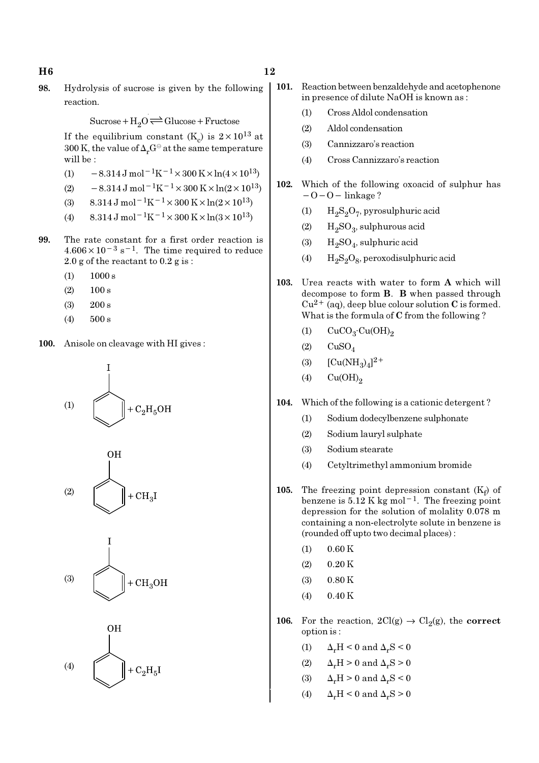98. Hydrolysis of sucrose is given by the following reaction.

 $Sucrose+H_2O \rightleftharpoons Glucose+Fructose$ 

If the equilibrium constant (K<sub>c</sub>) is  $2 \times 10^{13}$  at 300 K, the value of  $\Delta_r G^\ominus$  at the same temperature will be :

- (1)  $-8.314 \,\mathrm{J} \,\mathrm{mol}^{-1} \mathrm{K}^{-1} \times 300 \,\mathrm{K} \times \ln(4 \times 10^{13})$
- (2)  $-8.314 \,\mathrm{J} \,\mathrm{mol}^{-1} \mathrm{K}^{-1} \times 300 \,\mathrm{K} \times \ln(2 \times 10^{13})$
- (3)  $8.314 \text{ J mol}^{-1}\text{K}^{-1} \times 300 \text{ K} \times \ln(2 \times 10^{13})$
- (4)  $8.314 \text{ J mol}^{-1}\text{K}^{-1} \times 300 \text{ K} \times \ln(3 \times 10^{13})$
- 99. The rate constant for a first order reaction is  $4.606 \times 10^{-3}$  s<sup>-1</sup>. The time required to reduce 2.0 g of the reactant to 0.2 g is :
	- $(1)$  1000 s
	- $(2)$  100 s
	- (3) 200 s
	- (4) 500 s
- 100. Anisole on cleavage with HI gives :









- 101. Reaction between benzaldehyde and acetophenone in presence of dilute NaOH is known as :
	- (1) Cross Aldol condensation
	- (2) Aldol condensation
	- (3) Cannizzaro's reaction
	- (4) Cross Cannizzaro's reaction
- 102. Which of the following oxoacid of sulphur has −O−O− linkage ?
	- (1)  $H_2S_2O_7$ , pyrosulphuric acid
	- (2)  $H_2SO_3$ , sulphurous acid
	- (3)  $H_2SO_4$ , sulphuric acid
	- (4)  $H_2S_2O_8$ , peroxodisulphuric acid
- 103. Urea reacts with water to form A which will decompose to form B. B when passed through  $Cu^{2+}$  (aq), deep blue colour solution C is formed. What is the formula of C from the following ?
	- (1)  $CuCO<sub>3</sub>·Cu(OH)<sub>2</sub>$
	- $(2)$   $CuSO<sub>4</sub>$
	- (3)  $[Cu(NH_3)_4]^{2+}$
	- $(4)$   $Cu(OH)<sub>2</sub>$
- 104. Which of the following is a cationic detergent ?
	- (1) Sodium dodecylbenzene sulphonate
	- (2) Sodium lauryl sulphate
	- (3) Sodium stearate
	- (4) Cetyltrimethyl ammonium bromide
- 105. The freezing point depression constant  $(K_f)$  of benzene is  $5.12 \text{ K kg mol}^{-1}$ . The freezing point depression for the solution of molality 0.078 m containing a non-electrolyte solute in benzene is (rounded off upto two decimal places) :
	- $(1)$  0.60 K
	- $(2)$  0.20 K
	- $(3)$  0.80 K
	- (4) 0.40 K
- 106. For the reaction,  $2Cl(g) \rightarrow Cl_2(g)$ , the correct option is :
	- (1)  $\Delta_r H \leq 0$  and  $\Delta_r S \leq 0$
	- (2)  $\Delta_r H > 0$  and  $\Delta_r S > 0$
	- (3)  $\Delta_r H > 0$  and  $\Delta_r S < 0$
	- (4)  $\Delta_r H \leq 0$  and  $\Delta_r S \geq 0$

## $H6$  and  $12$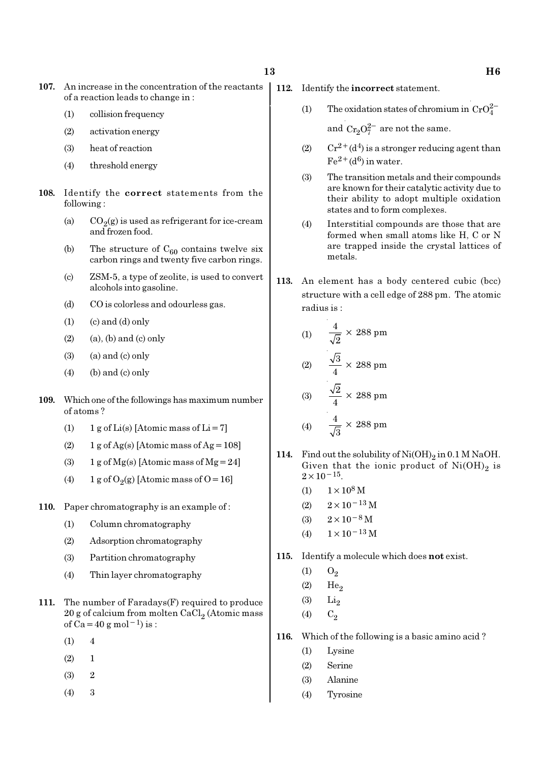- 107. An increase in the concentration of the reactants of a reaction leads to change in :
	- (1) collision frequency
	- (2) activation energy
	- (3) heat of reaction
	- (4) threshold energy
- 108. Identify the correct statements from the following :
	- (a)  $CO_2(g)$  is used as refrigerant for ice-cream and frozen food.
	- (b) The structure of  $C_{60}$  contains twelve six carbon rings and twenty five carbon rings.
	- (c) ZSM-5, a type of zeolite, is used to convert alcohols into gasoline.
	- (d) CO is colorless and odourless gas.
	- $(1)$   $(c)$  and  $(d)$  only
	- $(2)$  (a), (b) and (c) only
	- $(3)$   $(a)$  and  $(c)$  only
	- $(4)$  (b) and (c) only
- 109. Which one of the followings has maximum number of atoms ?
	- (1)  $1 g$  of Li(s) [Atomic mass of Li = 7]
	- (2)  $1$  g of Ag(s) [Atomic mass of Ag = 108]
	- (3) 1 g of  $Mg(s)$  [Atomic mass of  $Mg = 24$ ]
	- (4) 1 g of  $O_2(g)$  [Atomic mass of O = 16]
- 110. Paper chromatography is an example of:
	- (1) Column chromatography
	- (2) Adsorption chromatography
	- (3) Partition chromatography
	- (4) Thin layer chromatography
- 111. The number of Faradays(F) required to produce  $20$  g of calcium from molten CaCl $_2$  (Atomic mass of  $Ca = 40 g$  mol<sup>-1</sup>) is :
	- $(1) 4$
	- $(2) 1$
	- (3) 2
	- (4) 3
- 112. Identify the incorrect statement.
	- (1) The oxidation states of chromium in  $CrO_4^{2-}$

and  $Cr_2O_7^{2-}$  are not the same.

- (2)  $Cr^{2+}(d^4)$  is a stronger reducing agent than  $Fe^{2+}(d^6)$  in water.
- (3) The transition metals and their compounds are known for their catalytic activity due to their ability to adopt multiple oxidation states and to form complexes.
- (4) Interstitial compounds are those that are formed when small atoms like H, C or N are trapped inside the crystal lattices of metals.
- 113. An element has a body centered cubic (bcc) structure with a cell edge of 288 pm. The atomic radius is :

(1) 
$$
\frac{4}{\sqrt{2}} \times 288 \text{ pm}
$$
  
(2) 
$$
\frac{\sqrt{3}}{4} \times 288 \text{ pm}
$$
  
(3) 
$$
\frac{\sqrt{2}}{4} \times 288 \text{ pm}
$$
  
(4) 
$$
\frac{4}{\sqrt{3}} \times 288 \text{ pm}
$$

- 114. Find out the solubility of  $\text{Ni}(\text{OH})_2$  in 0.1 M NaOH. Given that the ionic product of  $\mathrm{Ni(OH)}_{2}$  is  $2 \times 10^{-15}$ .
	- (1)  $1 \times 10^8$  M
	- (2)  $2 \times 10^{-13}$  M
	- (3)  $2 \times 10^{-8}$  M
	- (4)  $1 \times 10^{-13}$  M
- 115. Identify a molecule which does not exist.
	- $(1)$   $O_2$
	- $(2)$  He<sub>2</sub>
	- $(3)$  Li<sub>2</sub>
	- (4)  $C_2$
- 116. Which of the following is a basic amino acid ?
	- (1) Lysine
	- (2) Serine
	- (3) Alanine
	- (4) Tyrosine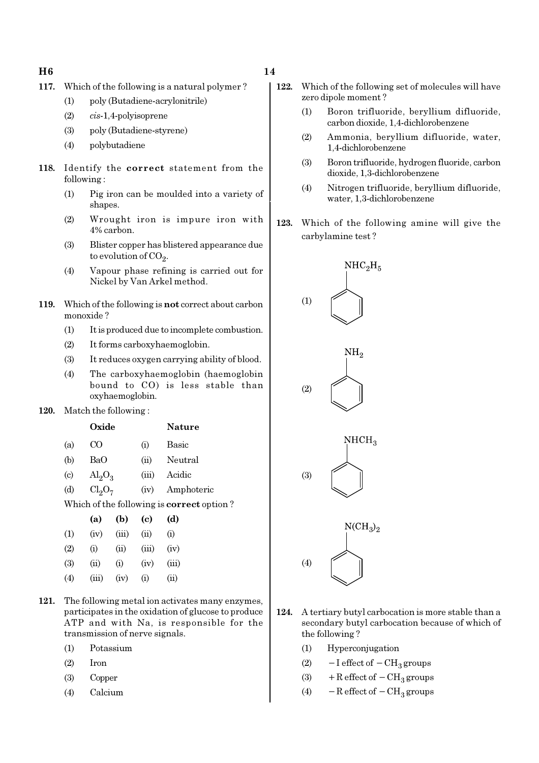### $H6$  and  $14$

- 117. Which of the following is a natural polymer ?
	- (1) poly (Butadiene-acrylonitrile)
	- (2) cis-1,4-polyisoprene
	- (3) poly (Butadiene-styrene)
	- (4) polybutadiene
- 118. Identify the correct statement from the following :
	- (1) Pig iron can be moulded into a variety of shapes.
	- (2) Wrought iron is impure iron with 4% carbon.
	- (3) Blister copper has blistered appearance due to evolution of CO<sub>2</sub>.
	- (4) Vapour phase refining is carried out for Nickel by Van Arkel method.
- 119. Which of the following is not correct about carbon monoxide ?
	- (1) It is produced due to incomplete combustion.
	- (2) It forms carboxyhaemoglobin.
	- (3) It reduces oxygen carrying ability of blood.
	- (4) The carboxyhaemoglobin (haemoglobin bound to CO) is less stable than oxyhaemoglobin.
- 120. Match the following :

|     | Oxide                   |       | <b>Nature</b> |
|-----|-------------------------|-------|---------------|
| (a) | CO.                     | (i)   | Basic         |
| (b) | BaO                     | (ii)  | Neutral       |
| (c) | $\text{Al}_2\text{O}_3$ | (iii) | Acidic        |

(d)  $Cl_2O_7$ (iv) Amphoteric

Which of the following is correct option ?

|                   | (a)   | (b)   | (c)   | (d)   |
|-------------------|-------|-------|-------|-------|
| (1)               | (iv)  | (iii) | (ii)  | (i)   |
| (2)               | (i)   | (ii)  | (iii) | (iv)  |
| (3)               | (ii)  | (i)   | (iv)  | (iii) |
| $\left( 4\right)$ | (iii) | (iv)  | (i)   | (ii)  |

- 121. The following metal ion activates many enzymes, participates in the oxidation of glucose to produce ATP and with Na, is responsible for the transmission of nerve signals.
	- (1) Potassium
	- (2) Iron
	- (3) Copper
	- (4) Calcium
- 122. Which of the following set of molecules will have zero dipole moment ?
	- (1) Boron trifluoride, beryllium difluoride, carbon dioxide, 1,4-dichlorobenzene
	- (2) Ammonia, beryllium difluoride, water, 1,4-dichlorobenzene
	- (3) Boron trifluoride, hydrogen fluoride, carbon dioxide, 1,3-dichlorobenzene
	- (4) Nitrogen trifluoride, beryllium difluoride, water, 1,3-dichlorobenzene
- 123. Which of the following amine will give the carbylamine test ?



- 124. A tertiary butyl carbocation is more stable than a secondary butyl carbocation because of which of the following ?
	- (1) Hyperconjugation
	- (2)  $-I$  effect of  $-CH_3$  groups
	- (3) + R effect of  $-CH<sub>3</sub>$  groups
	- (4)  $-$  R effect of  $-$  CH<sub>3</sub> groups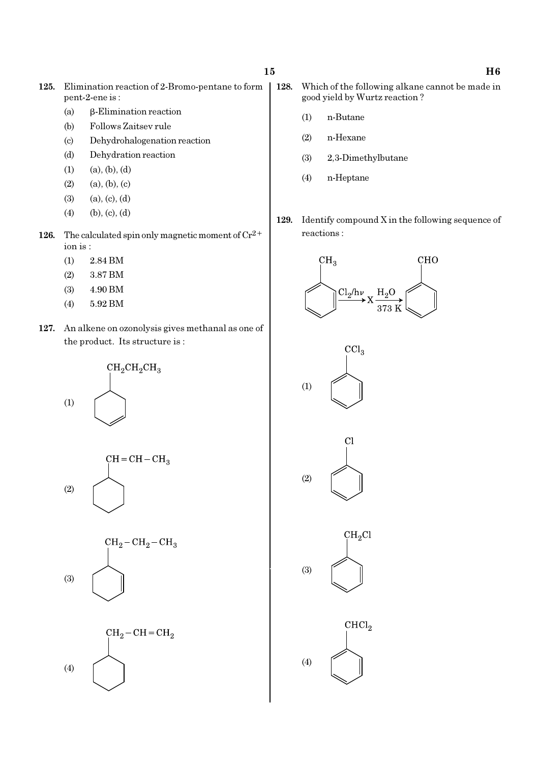- 125. Elimination reaction of 2-Bromo-pentane to form pent-2-ene is :
	- (a) β-Elimination reaction
	- (b) Follows Zaitsev rule
	- (c) Dehydrohalogenation reaction
	- (d) Dehydration reaction
	- $(1)$   $(a), (b), (d)$
	- $(2)$   $(a), (b), (c)$
	- (3) (a), (c), (d)
	- $(4)$  (b), (c), (d)
- 126. The calculated spin only magnetic moment of  $Cr^{2+}$ ion is :
	- (1) 2.84 BM
	- (2) 3.87 BM
	- (3) 4.90 BM
	- (4) 5.92 BM
- 127. An alkene on ozonolysis gives methanal as one of the product. Its structure is :



- 128. Which of the following alkane cannot be made in good yield by Wurtz reaction ?
	- (1) n-Butane
	- (2) n-Hexane
	- (3) 2,3-Dimethylbutane
	- (4) n-Heptane
- 129. Identify compound X in the following sequence of reactions :









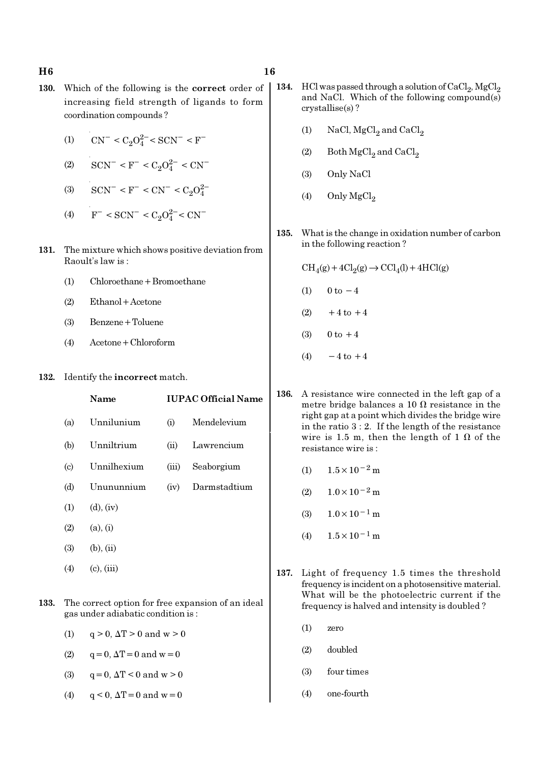- 130. Which of the following is the correct order of increasing field strength of ligands to form coordination compounds ?
	- (1)  $\text{CN}^- \leq C_2 O_4^{2-} \leq \text{SCN}^- \leq \text{F}^-$
	- (2)  $\text{SCN}^-$  < F<sup>-</sup> < C<sub>2</sub>O<sup>2-</sup> < CN<sup>-</sup>
	- (3)  $\text{SCN}^-$  < F<sup>-</sup> < CN<sup>-</sup> < C<sub>2</sub>O<sub>2</sub><sup>2</sup>
	- (4)  $F^-$  < SCN<sup>-</sup> < C<sub>2</sub>O<sub>4</sub><sup>2</sup><sup>-</sup> < CN<sup>-</sup>
- 131. The mixture which shows positive deviation from Raoult's law is :
	- (1) Chloroethane+Bromoethane
	- (2) Ethanol+Acetone
	- (3) Benzene+Toluene
	- (4) Acetone+Chloroform
- 132. Identify the incorrect match.

|                             | Name             |       | <b>IUPAC Official Name</b> |
|-----------------------------|------------------|-------|----------------------------|
| (a)                         | Unnilunium       | (i)   | Mendelevium                |
| (b)                         | Unniltrium       | (ii)  | Lawrencium                 |
| $\left( \mathrm{c} \right)$ | Unnilhexium      | (iii) | Seaborgium                 |
| (d)                         | Unununnium       | (iv)  | Darmstadtium               |
| (1)                         | $(d)$ , $(iv)$   |       |                            |
| (2)                         | (a), (i)         |       |                            |
| (3)                         | $(b)$ , $(ii)$   |       |                            |
|                             | $(4)$ (c), (iii) |       |                            |
|                             |                  |       |                            |

- 133. The correct option for free expansion of an ideal gas under adiabatic condition is :
	- (1)  $q > 0$ ,  $\Delta T > 0$  and  $w > 0$
	- (2)  $q = 0, \Delta T = 0$  and  $w = 0$
	- (3)  $q = 0, \Delta T < 0$  and  $w > 0$
	- (4)  $q < 0$ ,  $\Delta T = 0$  and  $w = 0$
- 134. HCl was passed through a solution of  $CaCl<sub>2</sub>$ , MgCl<sub>2</sub> and NaCl. Which of the following compound(s) crystallise(s) ?
	- (1) NaCl,  $MgCl<sub>2</sub>$  and  $CaCl<sub>2</sub>$
	- (2) Both  $\mathrm{MgCl}_2$  and  $\mathrm{CaCl}_2$
	- (3) Only NaCl
	- (4) Only  $MgCl<sub>2</sub>$
- 135. What is the change in oxidation number of carbon in the following reaction ?

 $\text{CH}_4(g) + 4\text{Cl}_2(g) \rightarrow \text{CCl}_4(l) + 4\text{HCl}(g)$ 

- (1)  $0 \text{ to } -4$
- $(2)$  +4 to +4
- (3)  $0 \text{ to } +4$
- $(4) -4$  to  $+4$
- 136. A resistance wire connected in the left gap of a metre bridge balances a 10  $\Omega$  resistance in the right gap at a point which divides the bridge wire in the ratio 3 : 2. If the length of the resistance wire is 1.5 m, then the length of 1  $\Omega$  of the resistance wire is :
	- (1)  $1.5 \times 10^{-2}$  m
	- (2)  $1.0 \times 10^{-2}$  m
	- $(3)$  1.0×10<sup>-1</sup> m
	- (4)  $1.5 \times 10^{-1}$  m
- 137. Light of frequency 1.5 times the threshold frequency is incident on a photosensitive material. What will be the photoelectric current if the frequency is halved and intensity is doubled ?
	- (1) zero
	- (2) doubled
	- (3) four times
	- (4) one-fourth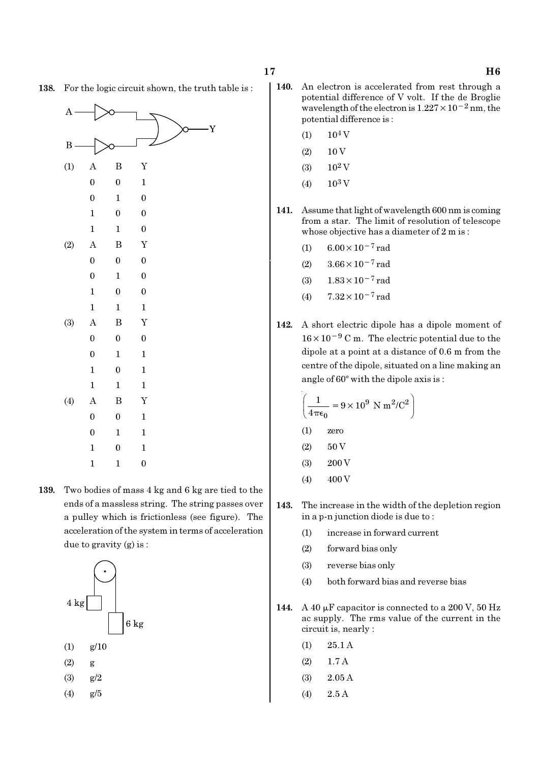> 0 1 1 1 0 1 1 1 1

(4) A B Y

0 0 1 0 1 1

138. For the logic circuit shown, the truth table is :

1 0 1 1 1 0 139. Two bodies of mass 4 kg and 6 kg are tied to the ends of a massless string. The string passes over a pulley which is frictionless (see figure). The acceleration of the system in terms of acceleration due to gravity (g) is :



- 140. An electron is accelerated from rest through a potential difference of V volt. If the de Broglie wavelength of the electron is  $1.227 \times 10^{-2}$  nm, the potential difference is :
	- $(1)$  10<sup>4</sup> V
	- $(2) 10 V$
	- (3)  $10^2$  V
	- (4)  $10^3$  V
- 141. Assume that light of wavelength 600 nm is coming from a star. The limit of resolution of telescope whose objective has a diameter of 2 m is :
	- (1)  $6.00 \times 10^{-7}$  rad
	- (2)  $3.66 \times 10^{-7}$  rad
	- (3) 1.83×10−7 rad
	- (4)  $7.32 \times 10^{-7}$  rad
- 142. A short electric dipole has a dipole moment of 16×10−<sup>9</sup> C m. The electric potential due to the dipole at a point at a distance of 0.6 m from the centre of the dipole, situated on a line making an angle of  $60^\circ$  with the dipole axis is :

$$
\left(\frac{1}{4\pi\epsilon_0} = 9 \times 10^9 \text{ N m}^2/\text{C}^2\right)
$$

- (1) zero
- $(2) 50 V$
- $(3)$  200 V
- $(4)$  400 V
- 143. The increase in the width of the depletion region in a p-n junction diode is due to :
	- (1) increase in forward current
	- (2) forward bias only
	- (3) reverse bias only
	- (4) both forward bias and reverse bias
- 144. A 40  $\mu$ F capacitor is connected to a 200 V, 50 Hz ac supply. The rms value of the current in the circuit is, nearly :
	- (1) 25.1 A
	- $(2)$  1.7 A
	- (3) 2.05 A
	- (4) 2.5 A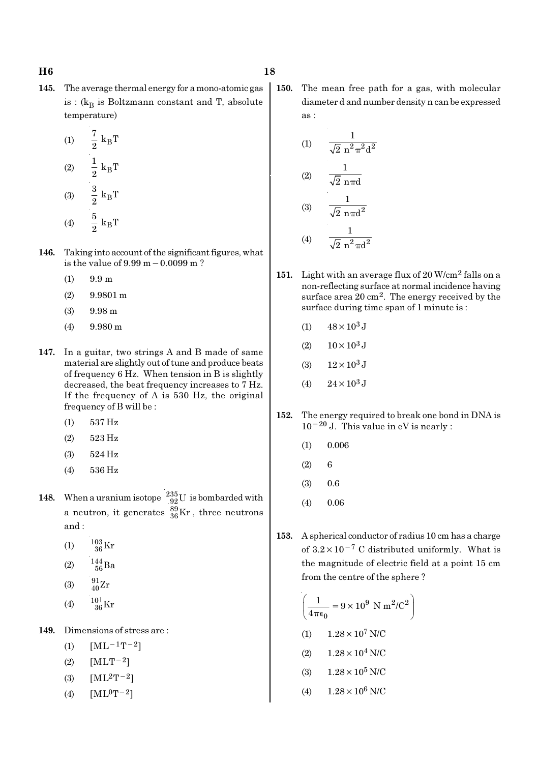145. The average thermal energy for a mono-atomic gas is : ( $k_B$  is Boltzmann constant and T, absolute temperature)

(1) 
$$
\frac{7}{2} k_{B}T
$$
  
\n(2)  $\frac{1}{2} k_{B}T$   
\n(3)  $\frac{3}{2} k_{B}T$   
\n(4)  $\frac{5}{2} k_{B}T$ 

- 146. Taking into account of the significant figures, what is the value of 9.99 m−0.0099 m ?
	- $(1)$  9.9 m
	- (2) 9.9801 m
	- (3) 9.98 m
	- (4) 9.980 m
- 147. In a guitar, two strings A and B made of same material are slightly out of tune and produce beats of frequency 6 Hz. When tension in B is slightly decreased, the beat frequency increases to 7 Hz. If the frequency of A is 530 Hz, the original frequency of B will be :
	- (1) 537 Hz
	- (2) 523 Hz
	- (3) 524 Hz
	- (4) 536 Hz
- 148. When a uranium isotope  $\frac{235}{92}$ U is bombarded with a neutron, it generates  $^{89}_{36}\text{Kr}$  , three neutrons and :
	- (1)  $\frac{103}{36}$ Kr
	- (2)  $\frac{144}{56}Ba$
	- (3)  $\frac{91}{40}Zr$
	- (4)  $\frac{101}{36}$ Kr
- 149. Dimensions of stress are :
	- (1)  $[ML^{-1}T^{-2}]$
	- (2)  $[MLT^{-2}]$
	- (3)  $[ML^2T^{-2}]$
	- (4)  $[ML^0T^{-2}]$

150. The mean free path for a gas, with molecular diameter d and number density n can be expressed as :

(1) 
$$
\frac{1}{\sqrt{2} n^2 \pi^2 d^2}
$$
  
\n(2) 
$$
\frac{1}{\sqrt{2} n \pi d}
$$
  
\n(3) 
$$
\frac{1}{\sqrt{2} n \pi d^2}
$$
  
\n(4) 
$$
\frac{1}{\sqrt{2} n^2 \pi d^2}
$$

- 151. Light with an average flux of 20 W/cm<sup>2</sup> falls on a non-reflecting surface at normal incidence having surface area 20 cm2. The energy received by the surface during time span of 1 minute is :
	- (1)  $48 \times 10^3$  J
	- (2)  $10 \times 10^3$  J
	- (3)  $12 \times 10^3$  J
	- (4)  $24 \times 10^3$  J
- 152. The energy required to break one bond in DNA is 10−20 J. This value in eV is nearly :
	- $(1)$  0.006
	- $(2) 6$
	- $(3)$  0.6
	- $(4)$  0.06
- 153. A spherical conductor of radius 10 cm has a charge of  $3.2 \times 10^{-7}$  C distributed uniformly. What is the magnitude of electric field at a point 15 cm from the centre of the sphere ?

$$
\left(\frac{1}{4\pi\epsilon_0} = 9 \times 10^9 \text{ N m}^2/\text{C}^2\right)
$$

- (1)  $1.28 \times 10^7$  N/C
- (2)  $1.28 \times 10^4$  N/C
- (3)  $1.28 \times 10^5$  N/C
- (4)  $1.28 \times 10^6$  N/C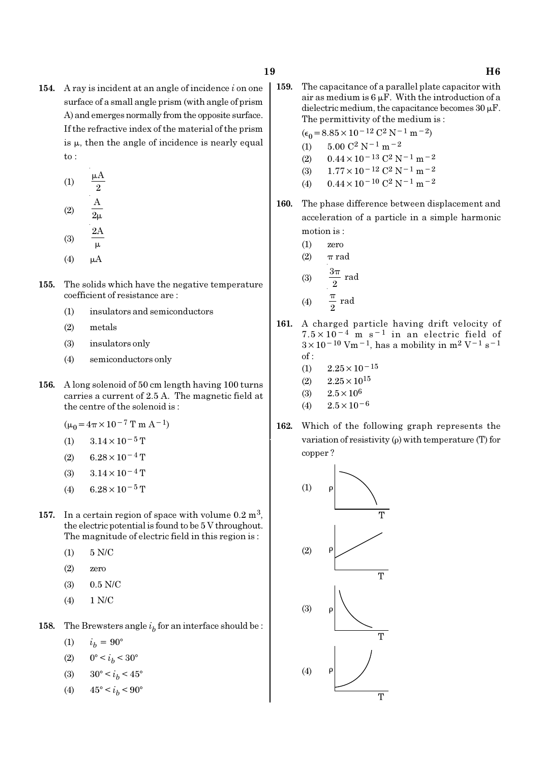- 
- 154. A ray is incident at an angle of incidence  $i$  on one surface of a small angle prism (with angle of prism A) and emerges normally from the opposite surface. If the refractive index of the material of the prism is  $\mu$ , then the angle of incidence is nearly equal to :
	- (1) A 2 µ (2) A  $\overline{2\mu}$
	- (3) 2A
	- $\mu$
	- $(4)$   $\mu$ A
- 155. The solids which have the negative temperature coefficient of resistance are :
	- (1) insulators and semiconductors
	- (2) metals
	- (3) insulators only
	- (4) semiconductors only
- 156. A long solenoid of 50 cm length having 100 turns carries a current of 2.5 A. The magnetic field at the centre of the solenoid is :
	- $(\mu_0 = 4\pi \times 10^{-7} \text{ T m A}^{-1})$
	- (1)  $3.14 \times 10^{-5}$  T
	- $(2)$  6.28 × 10<sup>-4</sup> T
	- (3)  $3.14 \times 10^{-4}$  T
	- (4) 6.28 × 10<sup>-5</sup> T
- 157. In a certain region of space with volume  $0.2 \text{ m}^3$ , the electric potential is found to be 5 V throughout. The magnitude of electric field in this region is :
	- (1) 5 N/C
	- (2) zero
	- (3) 0.5 N/C
	- (4) 1 N/C
- **158.** The Brewsters angle  $i<sub>b</sub>$  for an interface should be :
	- (1)  $i_h = 90^\circ$
	- (2)  $0^{\circ} < i_b < 30^{\circ}$
	- (3)  $30^{\circ} < i_b < 45^{\circ}$
	- (4)  $45^{\circ} < i_b < 90^{\circ}$

159. The capacitance of a parallel plate capacitor with air as medium is  $6 \mu$ F. With the introduction of a dielectric medium, the capacitance becomes  $30 \mu$ F. The permittivity of the medium is :

 $(\epsilon_0 = 8.85 \times 10^{-12} \text{ C}^2 \text{ N}^{-1} \text{ m}^{-2})$ 

- (1)  $5.00 \text{ C}^2 \text{ N}^{-1} \text{ m}^{-2}$
- (2)  $0.44 \times 10^{-13}$  C<sup>2</sup> N<sup>-1</sup> m<sup>-2</sup>
- (3)  $1.77 \times 10^{-12}$  C<sup>2</sup> N<sup>-1</sup> m<sup>-2</sup>
- (4)  $0.44 \times 10^{-10}$  C<sup>2</sup> N<sup>-1</sup> m<sup>-2</sup>
- 160. The phase difference between displacement and acceleration of a particle in a simple harmonic motion is :
	- (1) zero
	- (2)  $\pi$  rad

(3) 
$$
\frac{3\pi}{2} \text{ rad}
$$
  
(4) 
$$
\frac{\pi}{2} \text{ rad}
$$

- 161. A charged particle having drift velocity of  $7.5 \times 10^{-4}$  m s<sup>-1</sup> in an electric field of  $3 \times 10^{-10}$  Vm<sup>-1</sup>, has a mobility in m<sup>2</sup> V<sup>-1</sup> s<sup>-1</sup> of :
	- (1)  $2.25 \times 10^{-15}$
	- $(2)$   $2.25 \times 10^{15}$
	- (3)  $2.5 \times 10^6$
	- (4)  $2.5 \times 10^{-6}$
- 162. Which of the following graph represents the variation of resistivity (ρ) with temperature (T) for copper ?

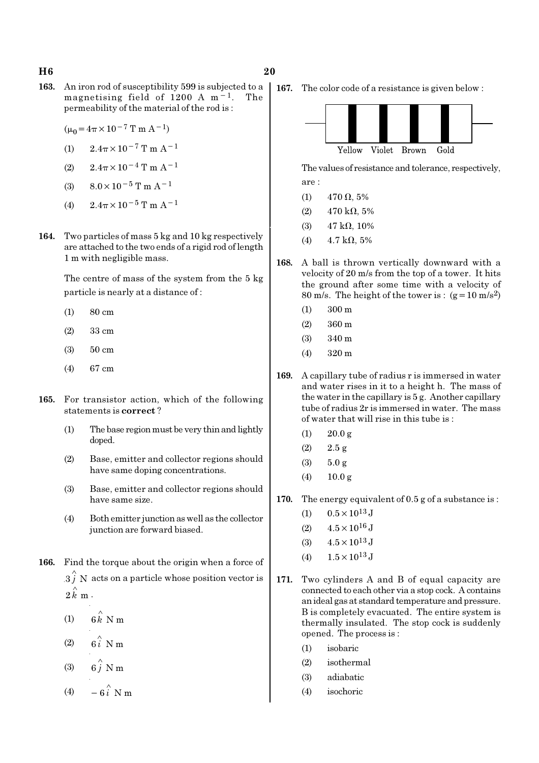### H6 20

- 163. An iron rod of susceptibility 599 is subjected to a magnetising field of 1200 A m−1. The permeability of the material of the rod is :
	- $(\mu_0 = 4\pi \times 10^{-7} \text{ T m A}^{-1})$
	- (1)  $2.4\pi \times 10^{-7}$  T m A<sup>-1</sup>
	- (2)  $2.4\pi \times 10^{-4}$  T m A<sup>-1</sup>
	- (3)  $8.0 \times 10^{-5}$  T m A<sup>-1</sup>
	- (4)  $2.4\pi \times 10^{-5}$  T m A<sup>-1</sup>
- 164. Two particles of mass 5 kg and 10 kg respectively are attached to the two ends of a rigid rod of length 1 m with negligible mass.

The centre of mass of the system from the 5 kg particle is nearly at a distance of :

- (1) 80 cm
- (2) 33 cm
- (3) 50 cm
- (4) 67 cm
- 165. For transistor action, which of the following statements is correct ?
	- (1) The base region must be very thin and lightly doped.
	- (2) Base, emitter and collector regions should have same doping concentrations.
	- (3) Base, emitter and collector regions should have same size.
	- (4) Both emitter junction as well as the collector junction are forward biased.
- 166. Find the torque about the origin when a force of  $3 \hat{j}$  N acts on a particle whose position vector is  $2 \, \overset{\circ}{k} \, \text{m} \, \cdot$ 
	- (1)  $6 \hat{k}$  N m
	- (2)  $6\hat{i}$  N m
	- (3)  $6\hat{j}$  N m
	- (4)  $-6\hat{i}$  N m

167. The color code of a resistance is given below :



The values of resistance and tolerance, respectively, are :

- (1) 470  $\Omega$ , 5%
- (2)  $470 \text{ k}\Omega, 5\%$
- (3)  $47 \text{ k}\Omega$ , 10%
- (4)  $4.7 \text{ k}\Omega, 5\%$
- 168. A ball is thrown vertically downward with a velocity of 20 m/s from the top of a tower. It hits the ground after some time with a velocity of 80 m/s. The height of the tower is :  $(g=10 \text{ m/s}^2)$ 
	- (1) 300 m
	- (2) 360 m
	- (3) 340 m
	- (4) 320 m
- 169. A capillary tube of radius r is immersed in water and water rises in it to a height h. The mass of the water in the capillary is 5 g. Another capillary tube of radius 2r is immersed in water. The mass of water that will rise in this tube is :
	- $(1)$  20.0 g
	- $(2)$  2.5 g
	- (3) 5.0 g
	- (4)  $10.0 \text{ g}$
- 170. The energy equivalent of 0.5 g of a substance is :
	- (1)  $0.5 \times 10^{13}$  J
	- (2)  $4.5 \times 10^{16}$  J
	- (3)  $4.5 \times 10^{13}$  J
	- (4)  $1.5 \times 10^{13}$  J
- 171. Two cylinders A and B of equal capacity are connected to each other via a stop cock. A contains an ideal gas at standard temperature and pressure. B is completely evacuated. The entire system is thermally insulated. The stop cock is suddenly opened. The process is :
	- (1) isobaric
	- (2) isothermal
	- (3) adiabatic
	- (4) isochoric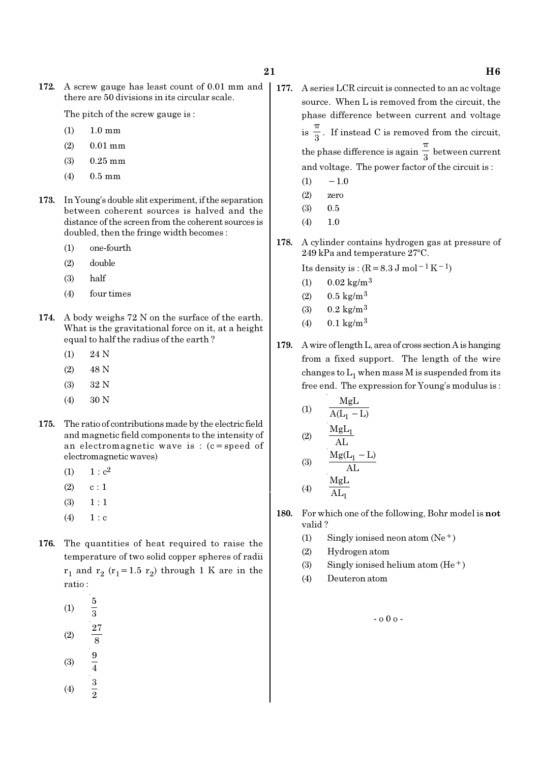172. A screw gauge has least count of 0.01 mm and there are 50 divisions in its circular scale.

The pitch of the screw gauge is :

- (1) 1.0 mm
- (2) 0.01 mm
- (3) 0.25 mm
- (4) 0.5 mm
- 173. In Young's double slit experiment, if the separation between coherent sources is halved and the distance of the screen from the coherent sources is doubled, then the fringe width becomes :
	- (1) one-fourth
	- (2) double
	- (3) half
	- (4) four times
- 174. A body weighs 72 N on the surface of the earth. What is the gravitational force on it, at a height equal to half the radius of the earth ?
	- (1) 24 N
	- (2) 48 N
	- (3) 32 N
	- (4) 30 N
- 175. The ratio of contributions made by the electric field and magnetic field components to the intensity of an electromagnetic wave is : (c=speed of electromagnetic waves)
	- (1)  $1 : c^2$
	- $(2)$  c : 1
	- $(3) \quad 1 : 1$
	- $(4) 1 : c$
- 176. The quantities of heat required to raise the temperature of two solid copper spheres of radii  $\rm r_1$  and  $\rm r_2$  ( $\rm r_1$ =1.5  $\rm r_2$ ) through 1 K are in the ratio :
	- (1) 5 3 (2) 27 8 (3)  $\frac{9}{4}$
	- (4)  $\frac{3}{2}$
- 177. A series LCR circuit is connected to an ac voltage source. When L is removed from the circuit, the phase difference between current and voltage  $is \frac{1}{3}$ π . If instead C is removed from the circuit, the phase difference is again  $\frac{1}{3}$ π between current and voltage. The power factor of the circuit is :
	- $(1)$  − 1.0
	- (2) zero
	- (3) 0.5
	- (4) 1.0
- 178. A cylinder contains hydrogen gas at pressure of  $249$  kPa and temperature  $27^{\circ}$ C.

Its density is :  $(R=8.3 \text{ J mol}^{-1}\text{ K}^{-1})$ 

- (1)  $0.02 \text{ kg/m}^3$
- (2)  $0.5 \text{ kg/m}^3$
- (3)  $0.2 \text{ kg/m}^3$
- (4)  $0.1 \text{ kg/m}^3$
- 179. A wire of length L, area of cross section A is hanging from a fixed support. The length of the wire changes to  $\mathrm{L}_1$  when mass M is suspended from its free end. The expression for Young's modulus is :

(1) 
$$
\frac{MgL}{A(L_1 - L)}
$$
  
(2) 
$$
\frac{MgL_1}{H}
$$

$$
(3) \quad \frac{\text{AL}}{\text{Mg(L}_1 - \text{L})}
$$

$$
(4) \qquad \frac{\text{MgL}}{\text{AL}_1}
$$

- 180. For which one of the following, Bohr model is not valid ?
	- (1) Singly ionised neon atom  $(Ne^+)$
	- (2) Hydrogen atom
	- (3) Singly ionised helium atom  $(He<sup>+</sup>)$
	- (4) Deuteron atom

- o 0 o -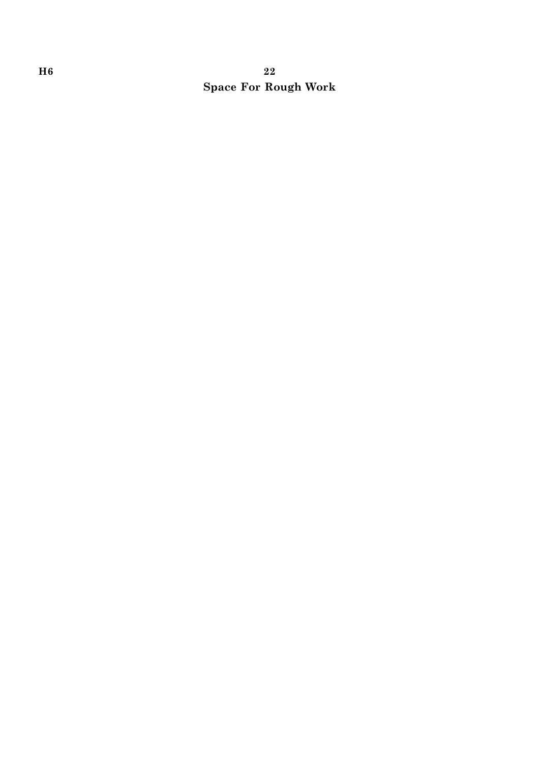# H6 22 Space For Rough Work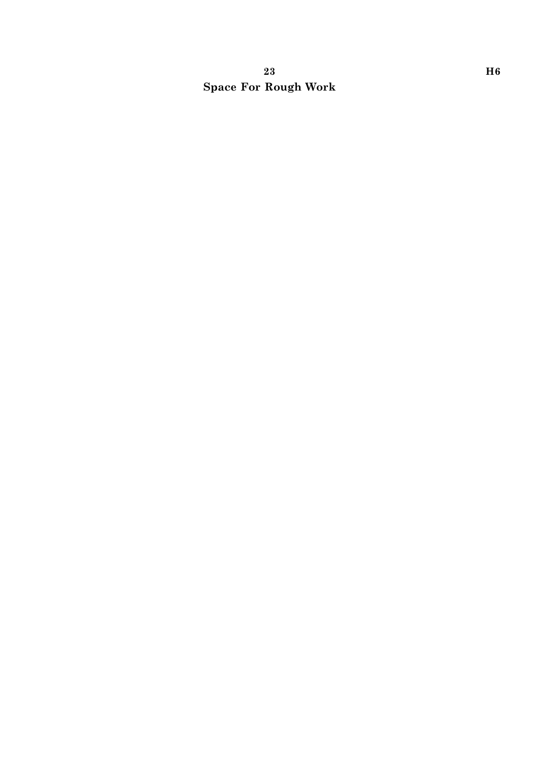# $23$  H6 Space For Rough Work